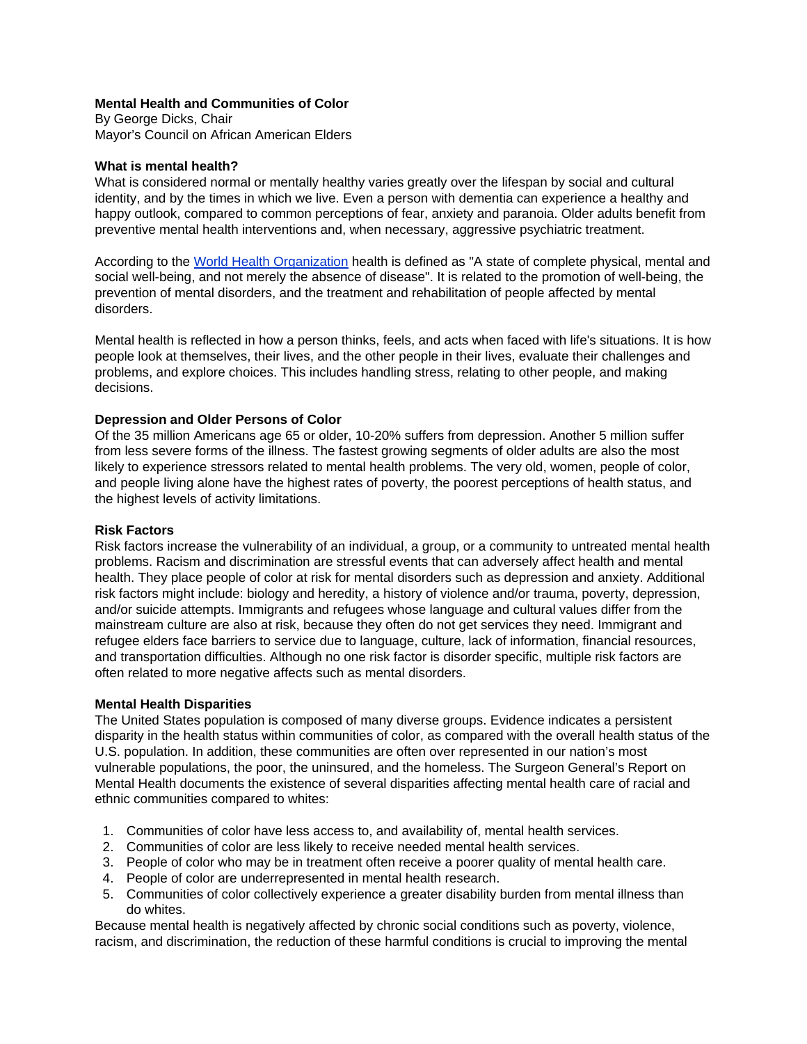## **Mental Health and Communities of Color**

By George Dicks, Chair Mayor's Council on African American Elders

#### **What is mental health?**

What is considered normal or mentally healthy varies greatly over the lifespan by social and cultural identity, and by the times in which we live. Even a person with dementia can experience a healthy and happy outlook, compared to common perceptions of fear, anxiety and paranoia. Older adults benefit from preventive mental health interventions and, when necessary, aggressive psychiatric treatment.

According to the World Health Organization health is defined as "A state of complete physical, mental and social well-being, and not merely the absence of disease". It is related to the promotion of well-being, the prevention of mental disorders, and the treatment and rehabilitation of people affected by mental disorders.

Mental health is reflected in how a person thinks, feels, and acts when faced with life's situations. It is how people look at themselves, their lives, and the other people in their lives, evaluate their challenges and problems, and explore choices. This includes handling stress, relating to other people, and making decisions.

#### **Depression and Older Persons of Color**

Of the 35 million Americans age 65 or older, 10-20% suffers from depression. Another 5 million suffer from less severe forms of the illness. The fastest growing segments of older adults are also the most likely to experience stressors related to mental health problems. The very old, women, people of color, and people living alone have the highest rates of poverty, the poorest perceptions of health status, and the highest levels of activity limitations.

#### **Risk Factors**

Risk factors increase the vulnerability of an individual, a group, or a community to untreated mental health problems. Racism and discrimination are stressful events that can adversely affect health and mental health. They place people of color at risk for mental disorders such as depression and anxiety. Additional risk factors might include: biology and heredity, a history of violence and/or trauma, poverty, depression, and/or suicide attempts. Immigrants and refugees whose language and cultural values differ from the mainstream culture are also at risk, because they often do not get services they need. Immigrant and refugee elders face barriers to service due to language, culture, lack of information, financial resources, and transportation difficulties. Although no one risk factor is disorder specific, multiple risk factors are often related to more negative affects such as mental disorders.

#### **Mental Health Disparities**

The United States population is composed of many diverse groups. Evidence indicates a persistent disparity in the health status within communities of color, as compared with the overall health status of the U.S. population. In addition, these communities are often over represented in our nation's most vulnerable populations, the poor, the uninsured, and the homeless. The Surgeon General's Report on Mental Health documents the existence of several disparities affecting mental health care of racial and ethnic communities compared to whites:

- 1. Communities of color have less access to, and availability of, mental health services.
- 2. Communities of color are less likely to receive needed mental health services.
- 3. People of color who may be in treatment often receive a poorer quality of mental health care.
- 4. People of color are underrepresented in mental health research.
- 5. Communities of color collectively experience a greater disability burden from mental illness than do whites.

Because mental health is negatively affected by chronic social conditions such as poverty, violence, racism, and discrimination, the reduction of these harmful conditions is crucial to improving the mental